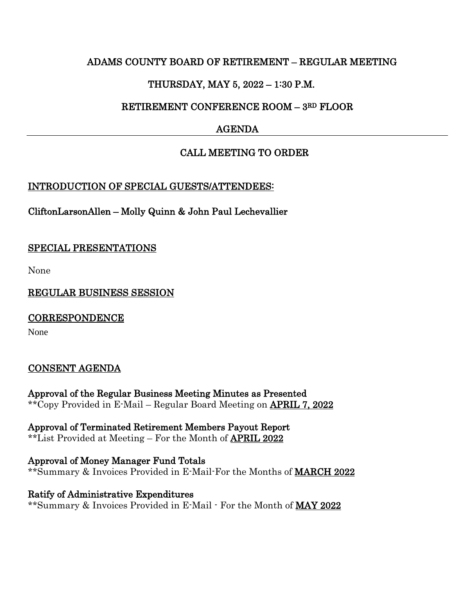### ADAMS COUNTY BOARD OF RETIREMENT – REGULAR MEETING

# THURSDAY, MAY 5, 2022 – 1:30 P.M.

## RETIREMENT CONFERENCE ROOM – 3RD FLOOR

# AGENDA

## CALL MEETING TO ORDER

### INTRODUCTION OF SPECIAL GUESTS/ATTENDEES:

CliftonLarsonAllen – Molly Quinn & John Paul Lechevallier

### SPECIAL PRESENTATIONS

None

REGULAR BUSINESS SESSION

**CORRESPONDENCE** 

None

# CONSENT AGENDA

Approval of the Regular Business Meeting Minutes as Presented \*\*Copy Provided in E-Mail – Regular Board Meeting on APRIL 7, 2022

Approval of Terminated Retirement Members Payout Report \*\*List Provided at Meeting – For the Month of APRIL 2022

Approval of Money Manager Fund Totals \*\*Summary & Invoices Provided in E-Mail-For the Months of MARCH 2022

Ratify of Administrative Expenditures \*\*Summary & Invoices Provided in E-Mail - For the Month of MAY 2022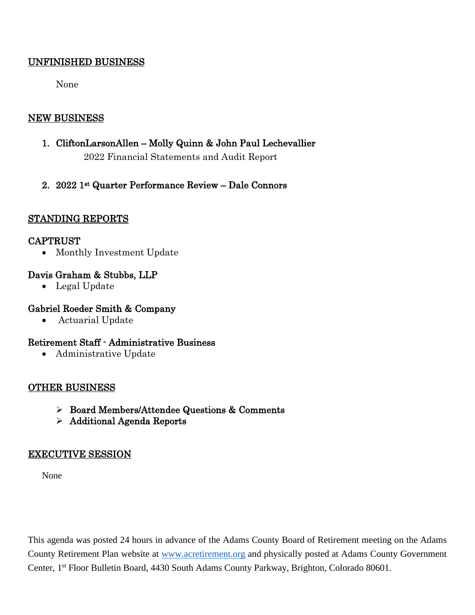### UNFINISHED BUSINESS

None

## NEW BUSINESS

- 1. CliftonLarsonAllen Molly Quinn & John Paul Lechevallier 2022 Financial Statements and Audit Report
- 2. 2022 1st Quarter Performance Review Dale Connors

### STANDING REPORTS

### CAPTRUST

• Monthly Investment Update

### Davis Graham & Stubbs, LLP

• Legal Update

### Gabriel Roeder Smith & Company

• Actuarial Update

### Retirement Staff - Administrative Business

• Administrative Update

### OTHER BUSINESS

- Board Members/Attendee Questions & Comments
- $\triangleright$  Additional Agenda Reports

### EXECUTIVE SESSION

None

This agenda was posted 24 hours in advance of the Adams County Board of Retirement meeting on the Adams County Retirement Plan website at [www.acretirement.org](http://www.acretirement.org/) and physically posted at Adams County Government Center, 1<sup>st</sup> Floor Bulletin Board, 4430 South Adams County Parkway, Brighton, Colorado 80601.